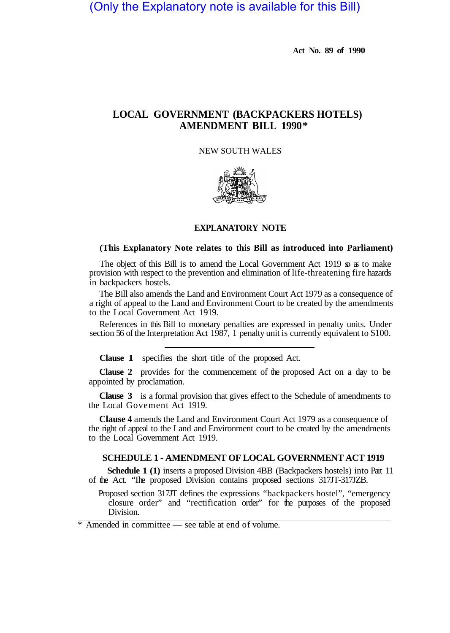# (Only the Explanatory note is available for this Bill)

**Act No. 89 of 1990** 

# **LOCAL GOVERNMENT (BACKPACKERS HOTELS) AMENDMENT BILL 1990 \***

# NEW SOUTH WALES



## **EXPLANATORY NOTE**

#### **(This Explanatory Note relates to this Bill as introduced into Parliament)**

The object of this Bill is to amend the Local Government Act 1919 so as to make provision with respect to the prevention and elimination of life-threatening fire hazards in backpackers hostels.

The Bill also amends the Land and Environment Court Act 1979 as a consequence of a right of appeal to the Land and Environment Court to be created by the amendments to the Local Government Act 1919.

References in this Bill to monetary penalties are expressed in penalty units. Under section 56 of the Interpretation Act 1987, 1 penalty unit is currently equivalent to \$100.

**Clause 1** specifies the short title of the proposed Act.

**Clause 2** provides for the commencement of the proposed Act on a day to be appointed by proclamation.

**Clause 3** is a formal provision that gives effect to the Schedule of amendments to the Local Govement Act 1919.

**Clause 4** amends the Land and Environment Court Act 1979 as a consequence of the right of appeal to the Land and Environment court to be created by the amendments to the Local Government Act 1919.

### **SCHEDULE 1 - AMENDMENT OF LOCAL GOVERNMENT ACT 1919**

**Schedule 1 (1)** inserts a proposed Division 4BB (Backpackers hostels) into Part 11 of the Act. "The proposed Division contains proposed sections 317JT-317JZB.

Proposed section 317JT defines the expressions "backpackers hostel", "emergency closure order" and "rectification order" for the purposes of the proposed Division.

\* Amended in committee — see table at end of volume.